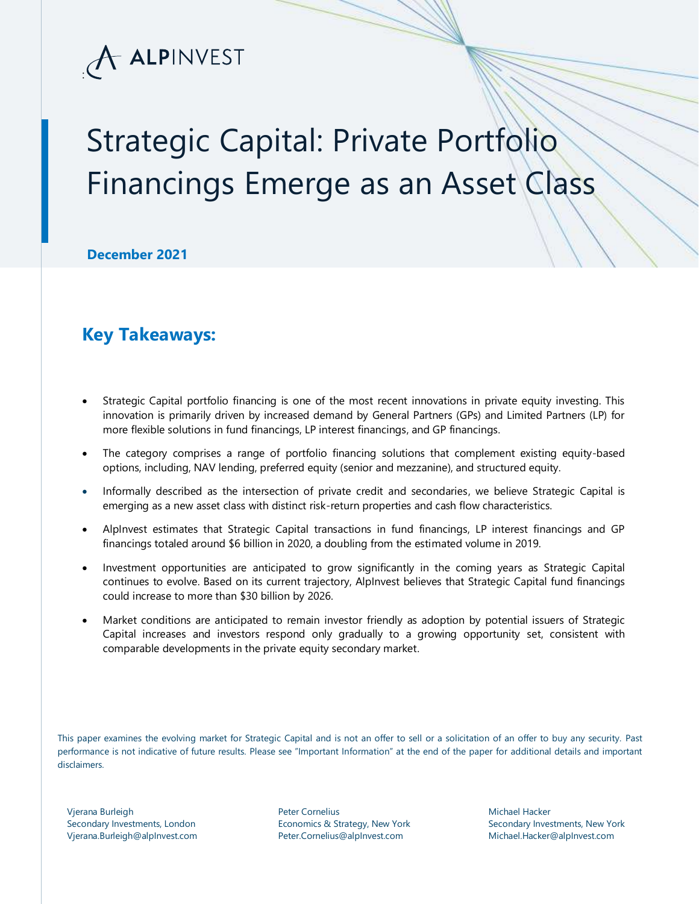

# Strategic Capital: Private Portfolio Financings Emerge as an Asset Class

**December 2021**

### **Key Takeaways:**

- Strategic Capital portfolio financing is one of the most recent innovations in private equity investing. This innovation is primarily driven by increased demand by General Partners (GPs) and Limited Partners (LP) for more flexible solutions in fund financings, LP interest financings, and GP financings.
- The category comprises a range of portfolio financing solutions that complement existing equity-based options, including, NAV lending, preferred equity (senior and mezzanine), and structured equity.
- Informally described as the intersection of private credit and secondaries, we believe Strategic Capital is emerging as a new asset class with distinct risk-return properties and cash flow characteristics.
- AlpInvest estimates that Strategic Capital transactions in fund financings, LP interest financings and GP financings totaled around \$6 billion in 2020, a doubling from the estimated volume in 2019.
- Investment opportunities are anticipated to grow significantly in the coming years as Strategic Capital continues to evolve. Based on its current trajectory, AlpInvest believes that Strategic Capital fund financings could increase to more than \$30 billion by 2026.
- Market conditions are anticipated to remain investor friendly as adoption by potential issuers of Strategic Capital increases and investors respond only gradually to a growing opportunity set, consistent with comparable developments in the private equity secondary market.

This paper examines the evolving market for Strategic Capital and is not an offer to sell or a solicitation of an offer to buy any security. Past performance is not indicative of future results. Please see "Important Information" at the end of the paper for additional details and important disclaimers.

Vjerana Burleigh Secondary Investments, London Vjerana.Burleigh@alpInvest.com Peter Cornelius Economics & Strategy, New York Peter.Cornelius@alpInvest.com

Michael Hacker Secondary Investments, New York Michael.Hacker@alpInvest.com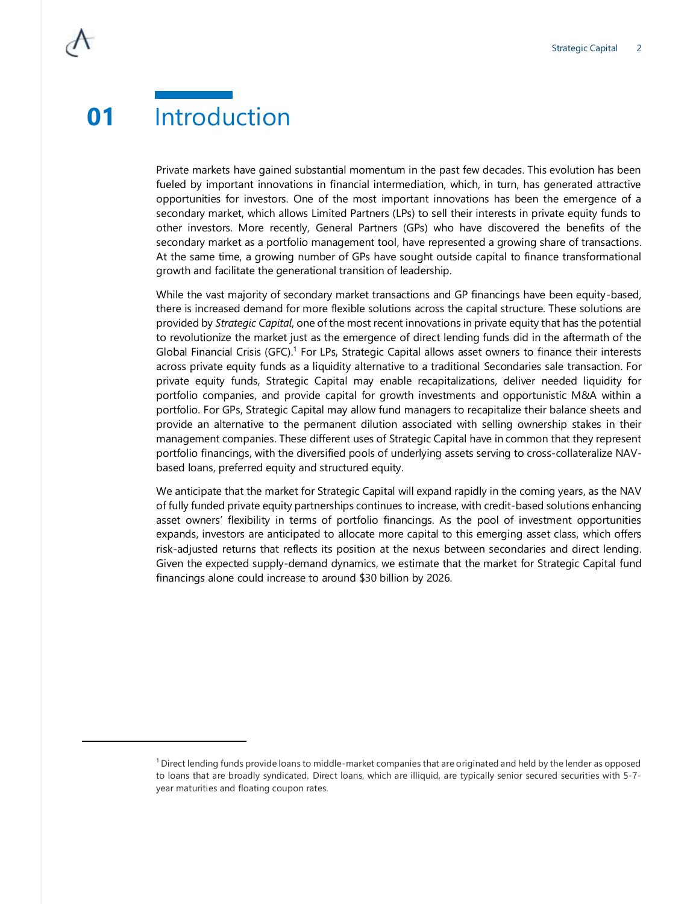### **01** Introduction

Private markets have gained substantial momentum in the past few decades. This evolution has been fueled by important innovations in financial intermediation, which, in turn, has generated attractive opportunities for investors. One of the most important innovations has been the emergence of a secondary market, which allows Limited Partners (LPs) to sell their interests in private equity funds to other investors. More recently, General Partners (GPs) who have discovered the benefits of the secondary market as a portfolio management tool, have represented a growing share of transactions. At the same time, a growing number of GPs have sought outside capital to finance transformational growth and facilitate the generational transition of leadership.

While the vast majority of secondary market transactions and GP financings have been equity-based, there is increased demand for more flexible solutions across the capital structure. These solutions are provided by *Strategic Capital*, one of the most recent innovations in private equity that has the potential to revolutionize the market just as the emergence of direct lending funds did in the aftermath of the Global Financial Crisis (GFC).<sup>1</sup> For LPs, Strategic Capital allows asset owners to finance their interests across private equity funds as a liquidity alternative to a traditional Secondaries sale transaction. For private equity funds, Strategic Capital may enable recapitalizations, deliver needed liquidity for portfolio companies, and provide capital for growth investments and opportunistic M&A within a portfolio. For GPs, Strategic Capital may allow fund managers to recapitalize their balance sheets and provide an alternative to the permanent dilution associated with selling ownership stakes in their management companies. These different uses of Strategic Capital have in common that they represent portfolio financings, with the diversified pools of underlying assets serving to cross-collateralize NAVbased loans, preferred equity and structured equity.

We anticipate that the market for Strategic Capital will expand rapidly in the coming years, as the NAV of fully funded private equity partnerships continues to increase, with credit-based solutions enhancing asset owners' flexibility in terms of portfolio financings. As the pool of investment opportunities expands, investors are anticipated to allocate more capital to this emerging asset class, which offers risk-adjusted returns that reflects its position at the nexus between secondaries and direct lending. Given the expected supply-demand dynamics, we estimate that the market for Strategic Capital fund financings alone could increase to around \$30 billion by 2026.

 $1$  Direct lending funds provide loans to middle-market companies that are originated and held by the lender as opposed to loans that are broadly syndicated. Direct loans, which are illiquid, are typically senior secured securities with 5-7 year maturities and floating coupon rates.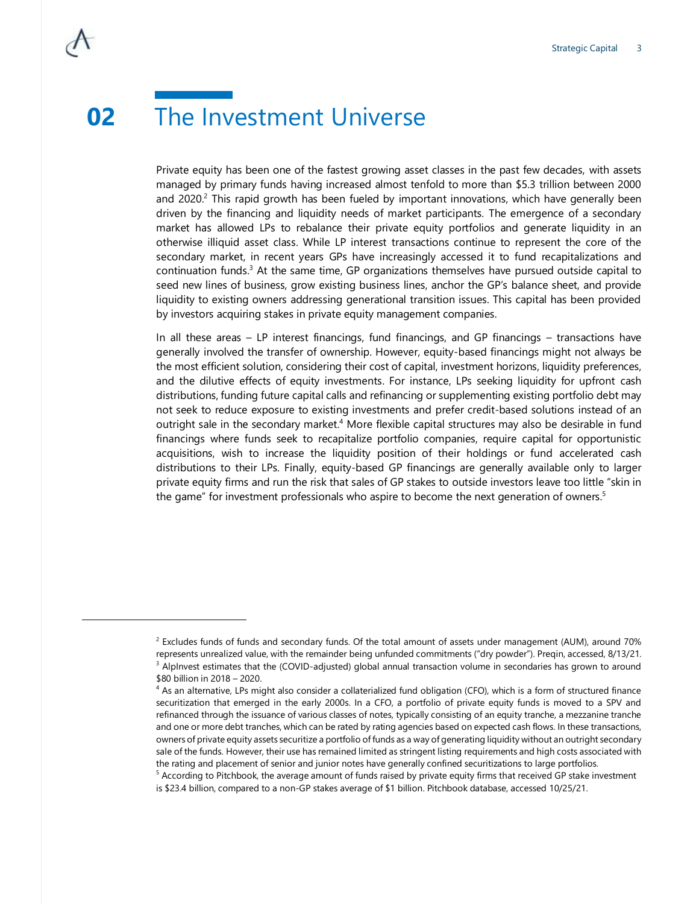Private equity has been one of the fastest growing asset classes in the past few decades, with assets managed by primary funds having increased almost tenfold to more than \$5.3 trillion between 2000 and 2020.<sup>2</sup> This rapid growth has been fueled by important innovations, which have generally been driven by the financing and liquidity needs of market participants. The emergence of a secondary market has allowed LPs to rebalance their private equity portfolios and generate liquidity in an otherwise illiquid asset class. While LP interest transactions continue to represent the core of the secondary market, in recent years GPs have increasingly accessed it to fund recapitalizations and continuation funds. $3$  At the same time, GP organizations themselves have pursued outside capital to seed new lines of business, grow existing business lines, anchor the GP's balance sheet, and provide liquidity to existing owners addressing generational transition issues. This capital has been provided by investors acquiring stakes in private equity management companies.

In all these areas – LP interest financings, fund financings, and GP financings – transactions have generally involved the transfer of ownership. However, equity-based financings might not always be the most efficient solution, considering their cost of capital, investment horizons, liquidity preferences, and the dilutive effects of equity investments. For instance, LPs seeking liquidity for upfront cash distributions, funding future capital calls and refinancing or supplementing existing portfolio debt may not seek to reduce exposure to existing investments and prefer credit-based solutions instead of an outright sale in the secondary market.<sup>4</sup> More flexible capital structures may also be desirable in fund financings where funds seek to recapitalize portfolio companies, require capital for opportunistic acquisitions, wish to increase the liquidity position of their holdings or fund accelerated cash distributions to their LPs. Finally, equity-based GP financings are generally available only to larger private equity firms and run the risk that sales of GP stakes to outside investors leave too little "skin in the game" for investment professionals who aspire to become the next generation of owners.<sup>5</sup>

 $^2$  Excludes funds of funds and secondary funds. Of the total amount of assets under management (AUM), around 70% represents unrealized value, with the remainder being unfunded commitments ("dry powder"). Preqin, accessed, 8/13/21.  $3$  AlpInvest estimates that the (COVID-adjusted) global annual transaction volume in secondaries has grown to around \$80 billion in 2018 – 2020.

 $4$  As an alternative, LPs might also consider a collaterialized fund obligation (CFO), which is a form of structured finance securitization that emerged in the early 2000s. In a CFO, a portfolio of private equity funds is moved to a SPV and refinanced through the issuance of various classes of notes, typically consisting of an equity tranche, a mezzanine tranche and one or more debt tranches, which can be rated by rating agencies based on expected cash flows. In these transactions, owners of private equity assets securitize a portfolio of funds as a way of generating liquidity without an outright secondary sale of the funds. However, their use has remained limited as stringent listing requirements and high costs associated with the rating and placement of senior and junior notes have generally confined securitizations to large portfolios.

 $5$  According to Pitchbook, the average amount of funds raised by private equity firms that received GP stake investment is \$23.4 billion, compared to a non-GP stakes average of \$1 billion. Pitchbook database, accessed 10/25/21.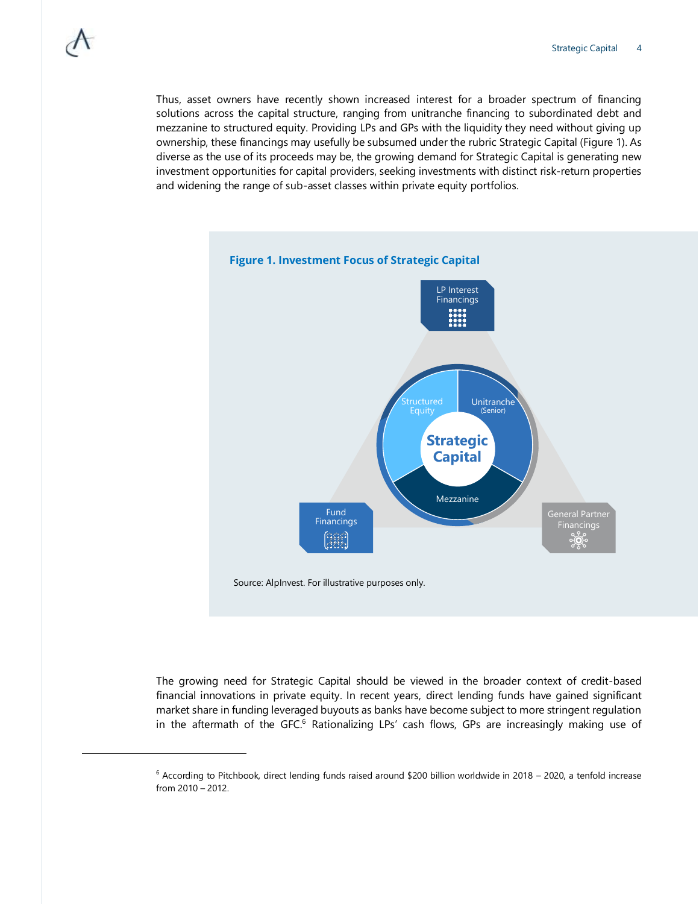Thus, asset owners have recently shown increased interest for a broader spectrum of financing solutions across the capital structure, ranging from unitranche financing to subordinated debt and mezzanine to structured equity. Providing LPs and GPs with the liquidity they need without giving up ownership, these financings may usefully be subsumed under the rubric Strategic Capital (Figure 1). As diverse as the use of its proceeds may be, the growing demand for Strategic Capital is generating new investment opportunities for capital providers, seeking investments with distinct risk-return properties and widening the range of sub-asset classes within private equity portfolios.



The growing need for Strategic Capital should be viewed in the broader context of credit-based financial innovations in private equity. In recent years, direct lending funds have gained significant market share in funding leveraged buyouts as banks have become subject to more stringent regulation in the aftermath of the GFC.<sup>6</sup> Rationalizing LPs' cash flows, GPs are increasingly making use of

 $6$  According to Pitchbook, direct lending funds raised around \$200 billion worldwide in 2018 – 2020, a tenfold increase from 2010 – 2012.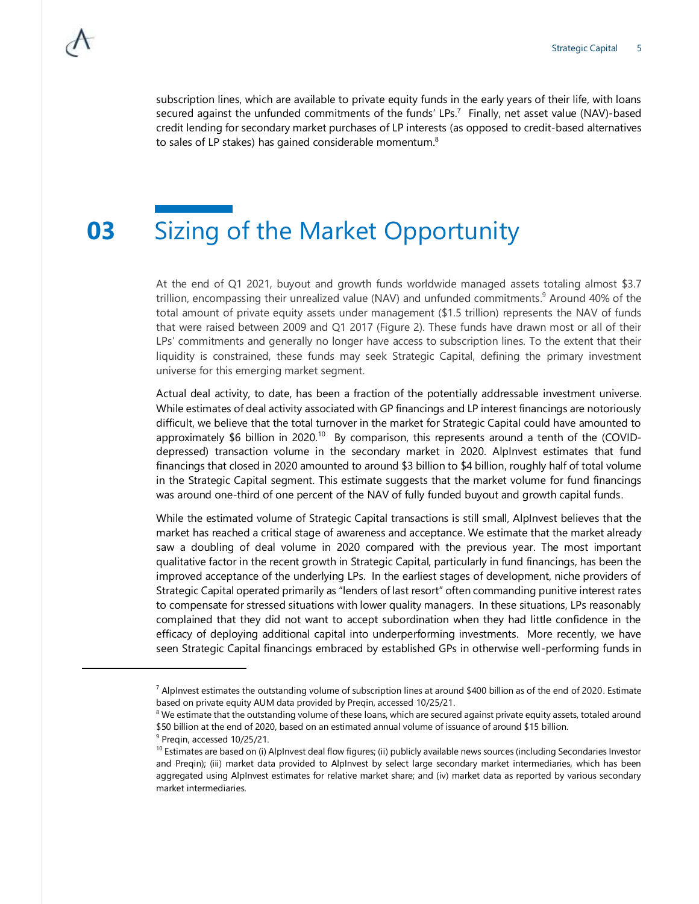subscription lines, which are available to private equity funds in the early years of their life, with loans secured against the unfunded commitments of the funds' LPs.<sup>7</sup> Finally, net asset value (NAV)-based credit lending for secondary market purchases of LP interests (as opposed to credit-based alternatives to sales of LP stakes) has gained considerable momentum. $8$ 

### **03** Sizing of the Market Opportunity

At the end of Q1 2021, buyout and growth funds worldwide managed assets totaling almost \$3.7 trillion, encompassing their unrealized value (NAV) and unfunded commitments. <sup>9</sup> Around 40% of the total amount of private equity assets under management (\$1.5 trillion) represents the NAV of funds that were raised between 2009 and Q1 2017 (Figure 2). These funds have drawn most or all of their LPs' commitments and generally no longer have access to subscription lines. To the extent that their liquidity is constrained, these funds may seek Strategic Capital, defining the primary investment universe for this emerging market segment.

Actual deal activity, to date, has been a fraction of the potentially addressable investment universe. While estimates of deal activity associated with GP financings and LP interest financings are notoriously difficult, we believe that the total turnover in the market for Strategic Capital could have amounted to approximately \$6 billion in 2020.<sup>10</sup> By comparison, this represents around a tenth of the (COVIDdepressed) transaction volume in the secondary market in 2020. AlpInvest estimates that fund financings that closed in 2020 amounted to around \$3 billion to \$4 billion, roughly half of total volume in the Strategic Capital segment. This estimate suggests that the market volume for fund financings was around one-third of one percent of the NAV of fully funded buyout and growth capital funds.

While the estimated volume of Strategic Capital transactions is still small, AlpInvest believes that the market has reached a critical stage of awareness and acceptance. We estimate that the market already saw a doubling of deal volume in 2020 compared with the previous year. The most important qualitative factor in the recent growth in Strategic Capital, particularly in fund financings, has been the improved acceptance of the underlying LPs. In the earliest stages of development, niche providers of Strategic Capital operated primarily as "lenders of last resort" often commanding punitive interest rates to compensate for stressed situations with lower quality managers. In these situations, LPs reasonably complained that they did not want to accept subordination when they had little confidence in the efficacy of deploying additional capital into underperforming investments. More recently, we have seen Strategic Capital financings embraced by established GPs in otherwise well-performing funds in

 $^7$  AlpInvest estimates the outstanding volume of subscription lines at around \$400 billion as of the end of 2020. Estimate based on private equity AUM data provided by Preqin, accessed 10/25/21.

 $8$  We estimate that the outstanding volume of these loans, which are secured against private equity assets, totaled around \$50 billion at the end of 2020, based on an estimated annual volume of issuance of around \$15 billion.

<sup>&</sup>lt;sup>9</sup> Preqin, accessed 10/25/21.

<sup>&</sup>lt;sup>10</sup> Estimates are based on (i) AlpInvest deal flow figures; (ii) publicly available news sources (including Secondaries Investor and Preqin); (iii) market data provided to AlpInvest by select large secondary market intermediaries, which has been aggregated using AlpInvest estimates for relative market share; and (iv) market data as reported by various secondary market intermediaries.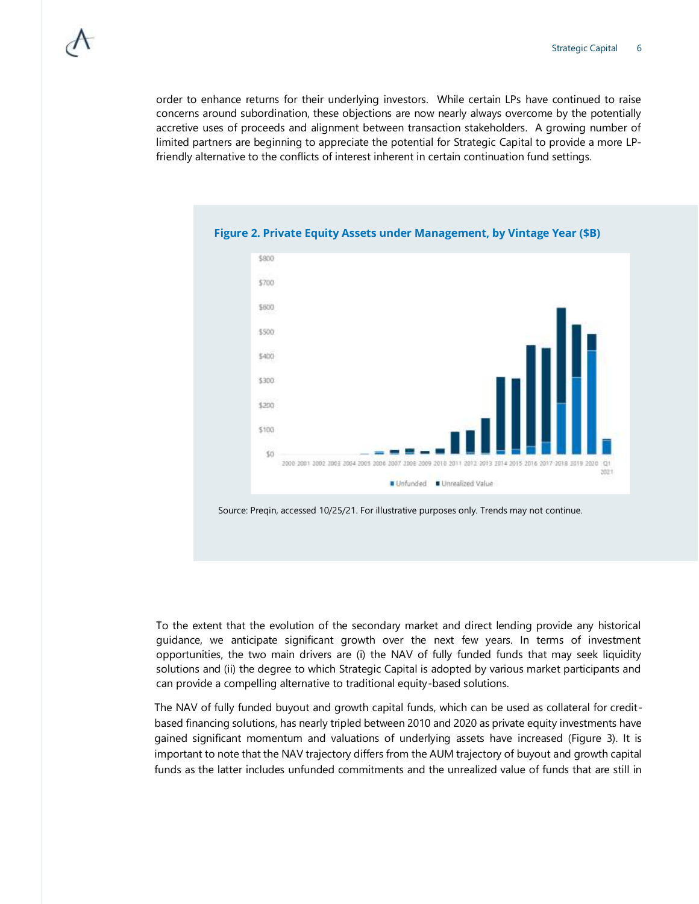order to enhance returns for their underlying investors. While certain LPs have continued to raise concerns around subordination, these objections are now nearly always overcome by the potentially accretive uses of proceeds and alignment between transaction stakeholders. A growing number of limited partners are beginning to appreciate the potential for Strategic Capital to provide a more LPfriendly alternative to the conflicts of interest inherent in certain continuation fund settings.



#### **Figure 2. Private Equity Assets under Management, by Vintage Year (\$B)**

Source: Preqin, accessed 10/25/21. For illustrative purposes only. Trends may not continue.

To the extent that the evolution of the secondary market and direct lending provide any historical guidance, we anticipate significant growth over the next few years. In terms of investment opportunities, the two main drivers are (i) the NAV of fully funded funds that may seek liquidity solutions and (ii) the degree to which Strategic Capital is adopted by various market participants and can provide a compelling alternative to traditional equity-based solutions.

The NAV of fully funded buyout and growth capital funds, which can be used as collateral for creditbased financing solutions, has nearly tripled between 2010 and 2020 as private equity investments have gained significant momentum and valuations of underlying assets have increased (Figure 3). It is important to note that the NAV trajectory differs from the AUM trajectory of buyout and growth capital funds as the latter includes unfunded commitments and the unrealized value of funds that are still in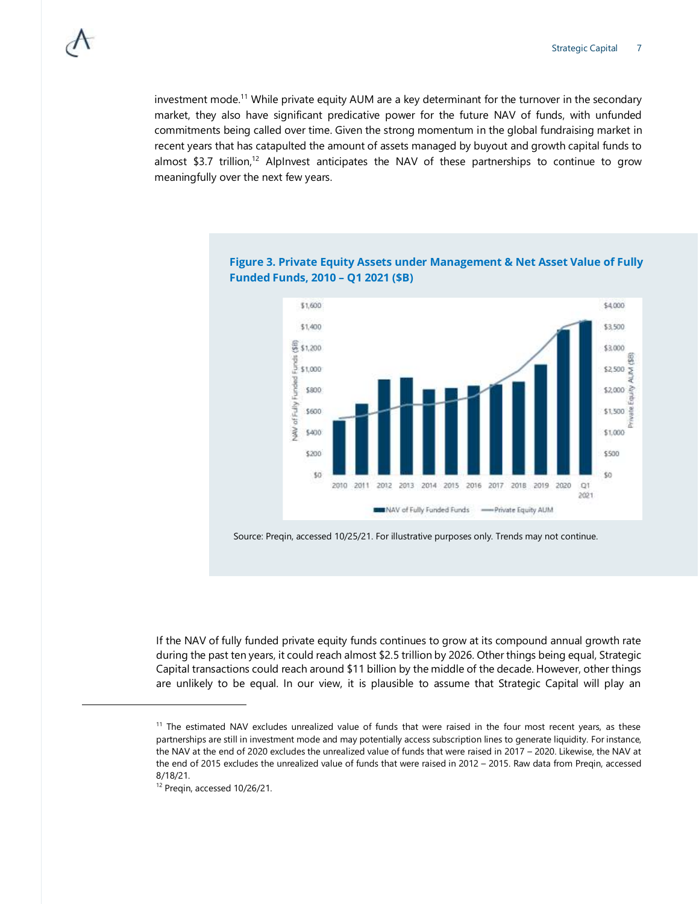investment mode.<sup>11</sup> While private equity AUM are a key determinant for the turnover in the secondary market, they also have significant predicative power for the future NAV of funds, with unfunded commitments being called over time. Given the strong momentum in the global fundraising market in recent years that has catapulted the amount of assets managed by buyout and growth capital funds to almost \$3.7 trillion,<sup>12</sup> AlpInvest anticipates the NAV of these partnerships to continue to grow meaningfully over the next few years.



#### **Figure 3. Private Equity Assets under Management & Net Asset Value of Fully Funded Funds, 2010 – Q1 2021 (\$B)**

Source: Preqin, accessed 10/25/21. For illustrative purposes only. Trends may not continue.

If the NAV of fully funded private equity funds continues to grow at its compound annual growth rate during the past ten years, it could reach almost \$2.5 trillion by 2026. Other things being equal, Strategic Capital transactions could reach around \$11 billion by the middle of the decade. However, other things are unlikely to be equal. In our view, it is plausible to assume that Strategic Capital will play an

<sup>&</sup>lt;sup>11</sup> The estimated NAV excludes unrealized value of funds that were raised in the four most recent years, as these partnerships are still in investment mode and may potentially access subscription lines to generate liquidity. For instance, the NAV at the end of 2020 excludes the unrealized value of funds that were raised in 2017 – 2020. Likewise, the NAV at the end of 2015 excludes the unrealized value of funds that were raised in 2012 – 2015. Raw data from Preqin, accessed 8/18/21.

<sup>&</sup>lt;sup>12</sup> Preqin, accessed 10/26/21.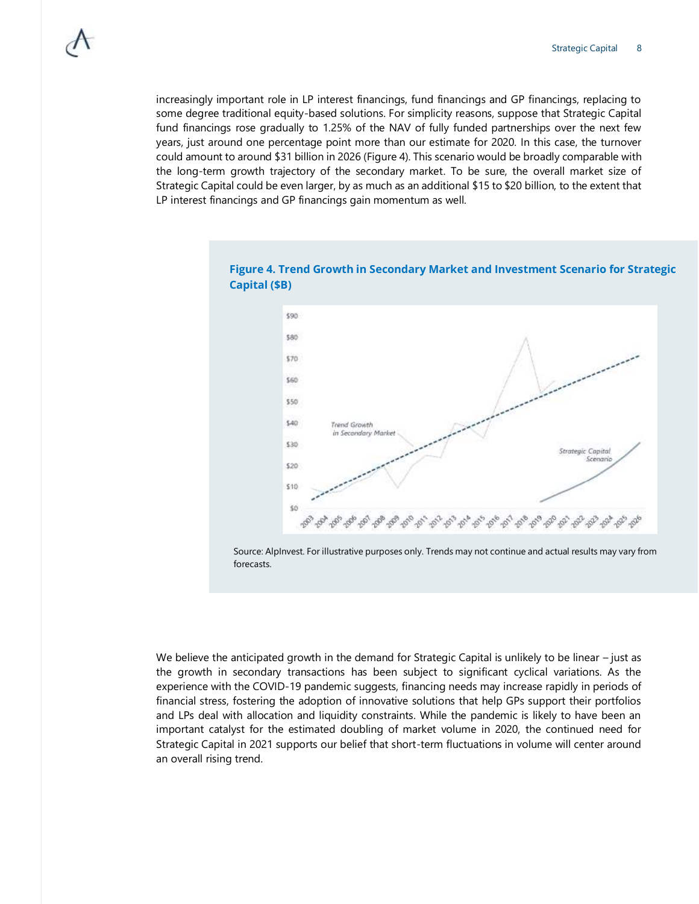increasingly important role in LP interest financings, fund financings and GP financings, replacing to some degree traditional equity-based solutions. For simplicity reasons, suppose that Strategic Capital fund financings rose gradually to 1.25% of the NAV of fully funded partnerships over the next few years, just around one percentage point more than our estimate for 2020. In this case, the turnover could amount to around \$31 billion in 2026 (Figure 4). This scenario would be broadly comparable with the long-term growth trajectory of the secondary market. To be sure, the overall market size of Strategic Capital could be even larger, by as much as an additional \$15 to \$20 billion, to the extent that LP interest financings and GP financings gain momentum as well.



**Figure 4. Trend Growth in Secondary Market and Investment Scenario for Strategic Capital (\$B)**

Source: AlpInvest. For illustrative purposes only. Trends may not continue and actual results may vary from forecasts.

We believe the anticipated growth in the demand for Strategic Capital is unlikely to be linear – just as the growth in secondary transactions has been subject to significant cyclical variations. As the experience with the COVID-19 pandemic suggests, financing needs may increase rapidly in periods of financial stress, fostering the adoption of innovative solutions that help GPs support their portfolios and LPs deal with allocation and liquidity constraints. While the pandemic is likely to have been an important catalyst for the estimated doubling of market volume in 2020, the continued need for Strategic Capital in 2021 supports our belief that short-term fluctuations in volume will center around an overall rising trend.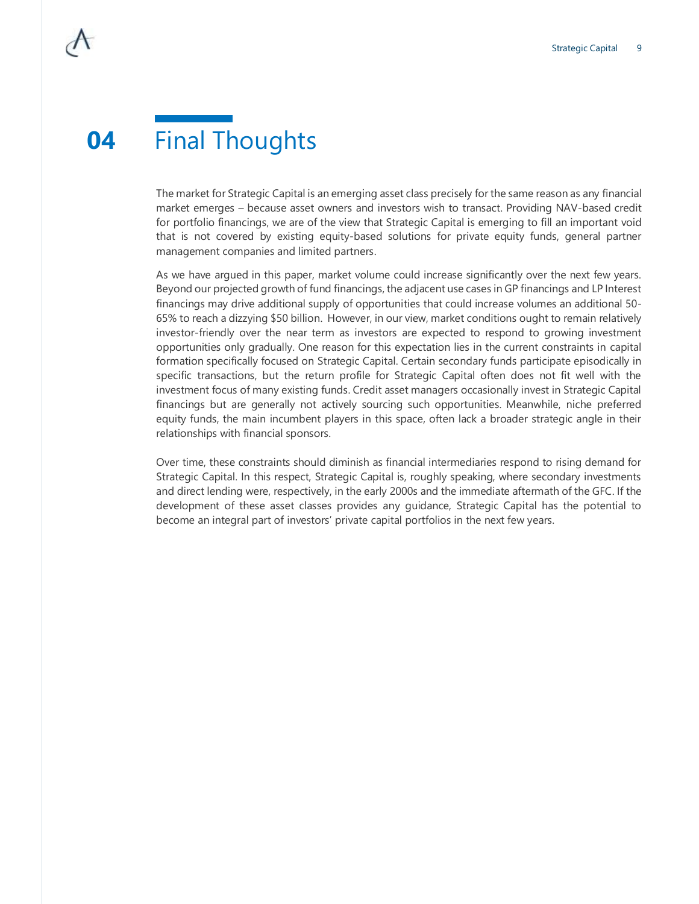## **04** Final Thoughts

The market for Strategic Capital is an emerging asset class precisely for the same reason as any financial market emerges – because asset owners and investors wish to transact. Providing NAV-based credit for portfolio financings, we are of the view that Strategic Capital is emerging to fill an important void that is not covered by existing equity-based solutions for private equity funds, general partner management companies and limited partners.

As we have argued in this paper, market volume could increase significantly over the next few years. Beyond our projected growth of fund financings, the adjacent use cases in GP financings and LP Interest financings may drive additional supply of opportunities that could increase volumes an additional 50- 65% to reach a dizzying \$50 billion. However, in our view, market conditions ought to remain relatively investor-friendly over the near term as investors are expected to respond to growing investment opportunities only gradually. One reason for this expectation lies in the current constraints in capital formation specifically focused on Strategic Capital. Certain secondary funds participate episodically in specific transactions, but the return profile for Strategic Capital often does not fit well with the investment focus of many existing funds. Credit asset managers occasionally invest in Strategic Capital financings but are generally not actively sourcing such opportunities. Meanwhile, niche preferred equity funds, the main incumbent players in this space, often lack a broader strategic angle in their relationships with financial sponsors.

Over time, these constraints should diminish as financial intermediaries respond to rising demand for Strategic Capital. In this respect, Strategic Capital is, roughly speaking, where secondary investments and direct lending were, respectively, in the early 2000s and the immediate aftermath of the GFC. If the development of these asset classes provides any guidance, Strategic Capital has the potential to become an integral part of investors' private capital portfolios in the next few years.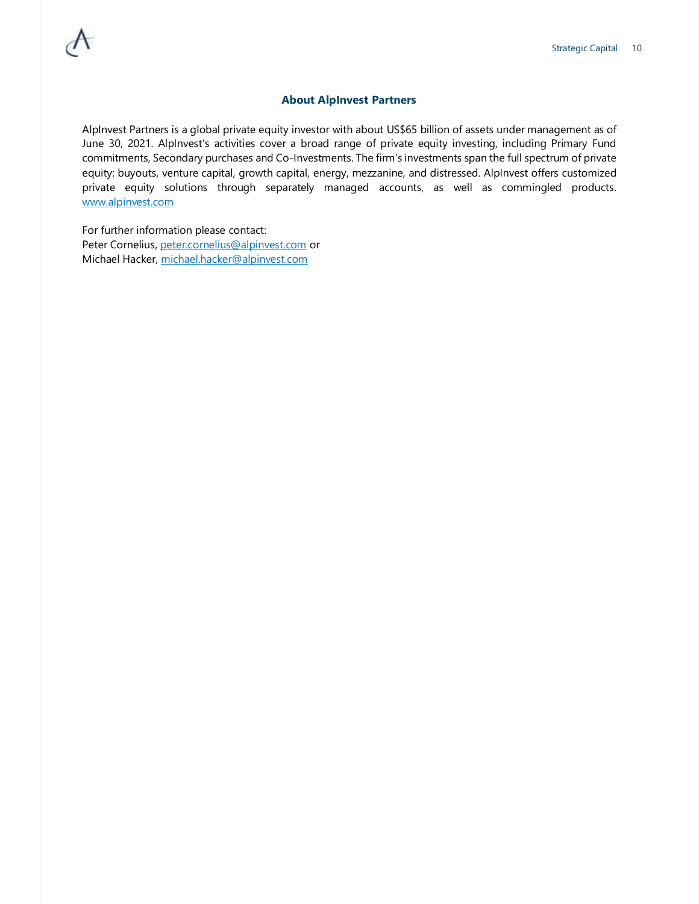#### **About AlpInvest Partners**

AlpInvest Partners is a global private equity investor with about US\$65 billion of assets under management as of June 30, 2021. AlpInvest's activities cover a broad range of private equity investing, including Primary Fund commitments, Secondary purchases and Co-Investments. The firm's investments span the full spectrum of private equity: buyouts, venture capital, growth capital, energy, mezzanine, and distressed. AlpInvest offers customized private equity solutions through separately managed accounts, as well as commingled products. [www.alpinvest.com](http://www.alpinvest.com/)

For further information please contact: Peter Cornelius, [peter.cornelius@alpinvest.com](mailto:peter.cornelius@alpinvest.com) or Michael Hacker, [michael.hacker@alpinvest.com](mailto:michael.hacker@alpinvest.com)